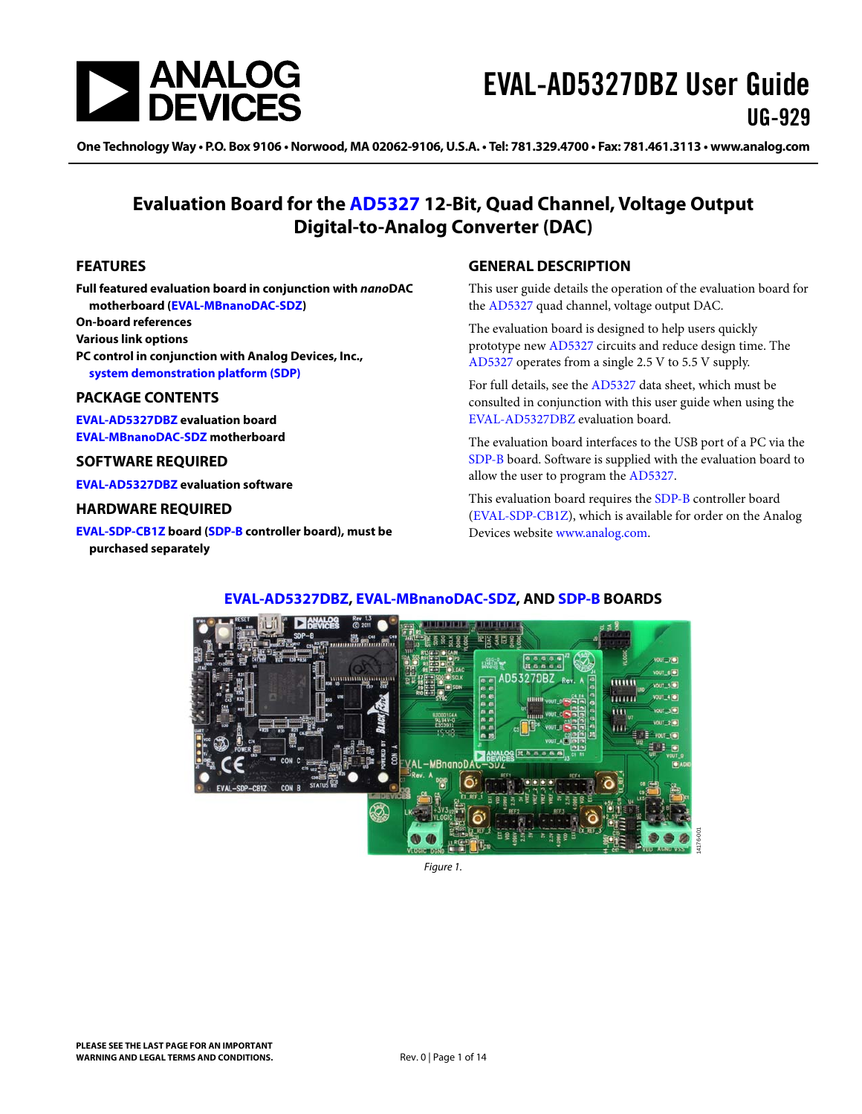

One Technology Way • P.O. Box 9106 • Norwood, MA 02062-9106, U.S.A. • Tel: 781.329.4700 • Fax: 781.461.3113 • www.analog.com

### **Evaluation Board for the [AD5327](http://www.analog.com/AD5327?doc=EVAL-AD5327DBZ-UG-929.pdf) 12-Bit, Quad Channel, Voltage Output Digital-to-Analog Converter (DAC)**

#### <span id="page-0-0"></span>**FEATURES**

**Full featured evaluation board in conjunction with nanoDAC motherboard [\(EVAL-MBnanoDAC-SDZ\)](http://www.analog.com/EVAL-AD5327?doc=EVAL-AD5327DBZ-UG-929.pdf) On-board references Various link options PC control in conjunction with Analog Devices, Inc., [system demonstration platform \(SDP\)](http://www.analog.com/SDP?doc=EVAL-AD5327DBZ-UG-929.pdf)**

#### <span id="page-0-1"></span>**PACKAGE CONTENTS**

**[EVAL-AD5327DBZ e](http://www.analog.com/EVAL-AD5327?doc=EVAL-AD5327DBZ-UG-929.pdf)valuation board [EVAL-MBnanoDAC-SDZ m](http://www.analog.com/EVAL-AD5327?doc=EVAL-AD5327DBZ-UG-929.pdf)otherboard** 

#### <span id="page-0-2"></span>**SOFTWARE REQUIRED**

**[EVAL-AD5327DBZ e](http://www.analog.com/EVAL-AD5327?doc=EVAL-AD5327DBZ-UG-929.pdf)valuation software** 

#### <span id="page-0-3"></span>**HARDWARE REQUIRED**

**[EVAL-SDP-CB1Z b](http://www.analog.com/sdp-b?doc=EVAL-AD5327DBZ-UG-929.pdf)oard [\(SDP-B c](http://www.analog.com/SDP-B?doc=EVAL-AD5327DBZ-UG-929.pdf)ontroller board), must be purchased separately** 

#### <span id="page-0-4"></span>**GENERAL DESCRIPTION**

This user guide details the operation of the evaluation board for the [AD5327](http://www.analog.com/AD5327?doc=EVAL-AD5327DBZ-UG-929.pdf) quad channel, voltage output DAC.

The evaluation board is designed to help users quickly prototype new [AD5327 c](http://www.analog.com/AD5327?doc=EVAL-AD5327DBZ-UG-929.pdf)ircuits and reduce design time. The [AD5327 o](http://www.analog.com/AD5327?doc=EVAL-AD5327DBZ-UG-929.pdf)perates from a single 2.5 V to 5.5 V supply.

For full details, see the [AD5327](http://www.analog.com/AD5327?doc=EVAL-AD5327DBZ-UG-929.pdf) data sheet, which must be consulted in conjunction with this user guide when using the [EVAL-AD5327DBZ e](http://www.analog.com/EVAL-AD5327?doc=EVAL-AD5327DBZ-UG-929.pdf)valuation board.

The evaluation board interfaces to the USB port of a PC via the [SDP-B](http://www.analog.com/SDP-B?doc=EVAL-AD5327DBZ-UG-929.pdf) board. Software is supplied with the evaluation board to allow the user to program the [AD5327.](http://www.analog.com/AD5327?doc=EVAL-AD5327DBZ-UG-929.pdf)

This evaluation board requires th[e SDP-B c](http://www.analog.com/SDP-B?doc=EVAL-AD5327DBZ-UG-929.pdf)ontroller board [\(EVAL-SDP-CB1Z\)](http://www.analog.com/sdp-b?doc=EVAL-AD5327DBZ-UG-929.pdf), which is available for order on the Analog Devices website [www.analog.com.](http://www.analog.com/?doc=EVAL-AD5327DBZ-UG-929.pdf)



#### <span id="page-0-5"></span>**[EVAL-AD5327DBZ, EVAL-MBnanoDAC-SDZ,](http://www.analog.com/EVAL-AD5327?doc=EVAL-AD5327DBZ-UG-929.pdf) AN[D SDP-B B](http://www.analog.com/SDP-B?doc=EVAL-AD5327DBZ-UG-929.pdf)OARDS**

Figure 1.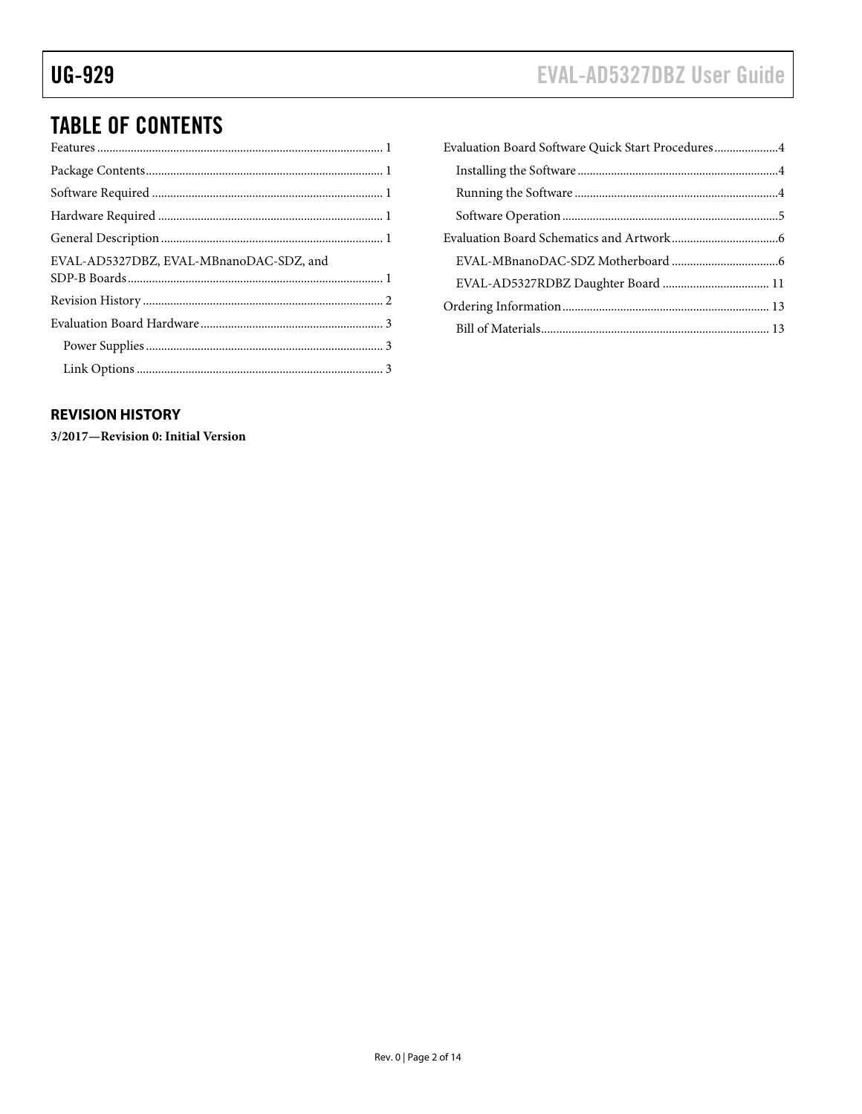# EVAL-AD5327DBZ User Guide

# **TABLE OF CONTENTS**

| EVAL-AD5327DBZ, EVAL-MBnanoDAC-SDZ, and |  |
|-----------------------------------------|--|
|                                         |  |
|                                         |  |
|                                         |  |
|                                         |  |

#### <span id="page-1-0"></span>**REVISION HISTORY**

3/2017-Revision 0: Initial Version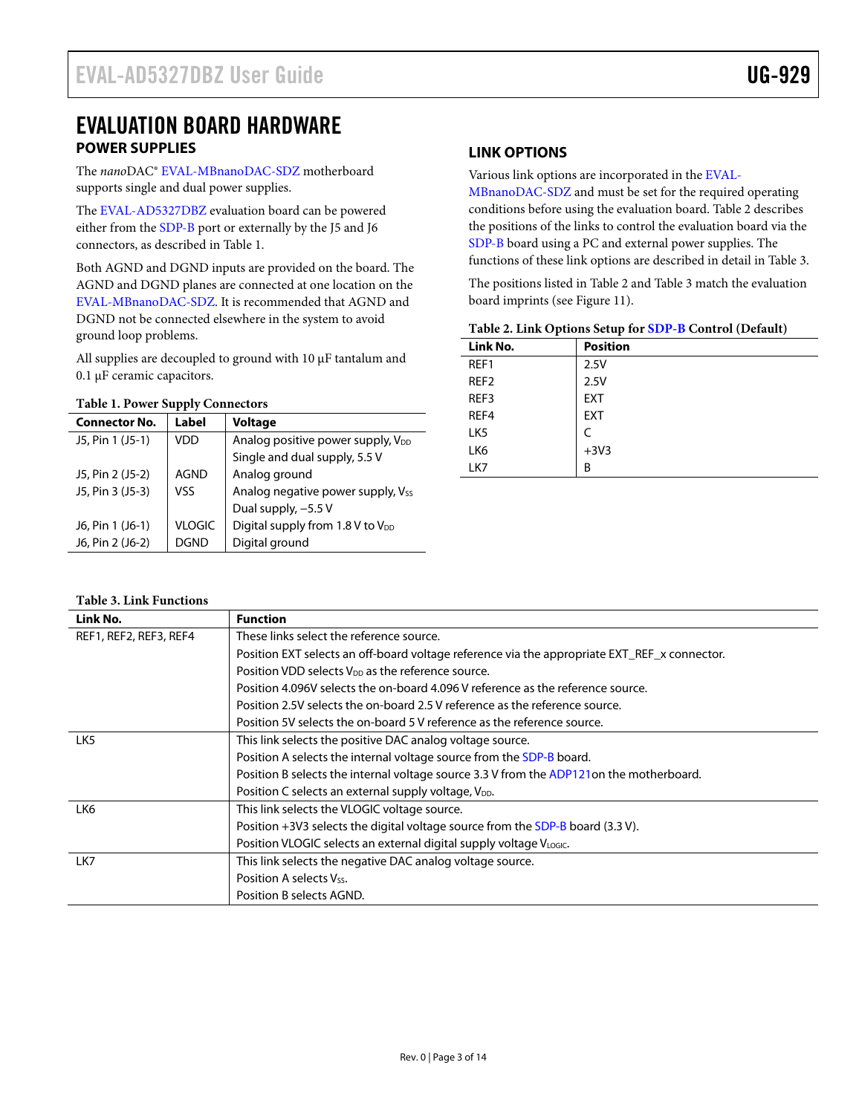### <span id="page-2-0"></span>EVALUATION BOARD HARDWARE **POWER SUPPLIES**

<span id="page-2-1"></span>The *nano*DAC[® EVAL-MBnanoDAC-SDZ](http://www.analog.com/EVAL-AD5327?doc=EVAL-AD5327DBZ-UG-929.pdf) motherboard supports single and dual power supplies.

The [EVAL-AD5327DBZ e](http://www.analog.com/EVAL-AD5327?doc=EVAL-AD5327DBZ-UG-929.pdf)valuation board can be powered either from th[e SDP-B p](http://www.analog.com/SDP-B?doc=EVAL-AD5327DBZ-UG-929.pdf)ort or externally by the J5 and J6 connectors, as described i[n Table 1.](#page-2-3) 

Both AGND and DGND inputs are provided on the board. The AGND and DGND planes are connected at one location on the [EVAL-MBnanoDAC-SDZ.](http://www.analog.com/EVAL-AD5327?doc=EVAL-AD5327DBZ-UG-929.pdf) It is recommended that AGND and DGND not be connected elsewhere in the system to avoid ground loop problems.

All supplies are decoupled to ground with 10 μF tantalum and 0.1 μF ceramic capacitors.

#### <span id="page-2-3"></span>**Table 1. Power Supply Connectors**

| <b>Connector No.</b> | Label         | <b>Voltage</b>                               |  |
|----------------------|---------------|----------------------------------------------|--|
| J5, Pin 1 (J5-1)     | VDD           | Analog positive power supply, $V_{DD}$       |  |
|                      |               | Single and dual supply, 5.5 V                |  |
| J5, Pin 2 (J5-2)     | AGND          | Analog ground                                |  |
| J5, Pin 3 (J5-3)     | VSS           | Analog negative power supply, Vss            |  |
|                      |               | Dual supply, -5.5 V                          |  |
| J6, Pin 1 (J6-1)     | <b>VLOGIC</b> | Digital supply from 1.8 V to V <sub>DD</sub> |  |
| J6, Pin 2 (J6-2)     | DGND          | Digital ground                               |  |

### <span id="page-2-2"></span>**LINK OPTIONS**

Various link options are incorporated in th[e EVAL-](http://www.analog.com/EVAL-AD5327?doc=EVAL-AD5327DBZ-UG-929.pdf)

[MBnanoDAC-SDZ](http://www.analog.com/EVAL-AD5327?doc=EVAL-AD5327DBZ-UG-929.pdf) and must be set for the required operating conditions before using the evaluation board[. Table 2 d](#page-2-4)escribes the positions of the links to control the evaluation board via the [SDP-B](http://www.analog.com/SDP-B?doc=EVAL-AD5327DBZ-UG-929.pdf) board using a PC and external power supplies. The functions of these link options are described in detail in [Table 3.](#page-2-5) 

The positions listed i[n Table 2](#page-2-4) and [Table 3 m](#page-2-5)atch the evaluation board imprints (se[e Figure 11\)](#page-8-0).

<span id="page-2-4"></span>

|  |  | Table 2. Link Options Setup for SDP-B Control (Default) |  |
|--|--|---------------------------------------------------------|--|
|--|--|---------------------------------------------------------|--|

| Link No.         | <b>Position</b> |
|------------------|-----------------|
| REF1             | 2.5V            |
| REF <sub>2</sub> | 2.5V            |
| REF3             | <b>EXT</b>      |
| REF4             | <b>EXT</b>      |
| LK <sub>5</sub>  |                 |
| LK6              | $+3V3$          |
| LK7              | B               |

#### <span id="page-2-5"></span>**Table 3. Link Functions**

| Link No.               | <b>Function</b>                                                                              |
|------------------------|----------------------------------------------------------------------------------------------|
| REF1, REF2, REF3, REF4 | These links select the reference source.                                                     |
|                        | Position EXT selects an off-board voltage reference via the appropriate EXT_REF_x connector. |
|                        | Position VDD selects V <sub>DD</sub> as the reference source.                                |
|                        | Position 4.096V selects the on-board 4.096 V reference as the reference source.              |
|                        | Position 2.5V selects the on-board 2.5 V reference as the reference source.                  |
|                        | Position 5V selects the on-board 5V reference as the reference source.                       |
| LK5                    | This link selects the positive DAC analog voltage source.                                    |
|                        | Position A selects the internal voltage source from the SDP-B board.                         |
|                        | Position B selects the internal voltage source 3.3 V from the ADP121on the motherboard.      |
|                        | Position C selects an external supply voltage, VDD.                                          |
| LK6                    | This link selects the VLOGIC voltage source.                                                 |
|                        | Position $+3\sqrt{3}$ selects the digital voltage source from the SDP-B board (3.3 V).       |
|                        | Position VLOGIC selects an external digital supply voltage VLOGIC.                           |
| LK7                    | This link selects the negative DAC analog voltage source.                                    |
|                        | Position A selects Vss.                                                                      |
|                        | Position B selects AGND.                                                                     |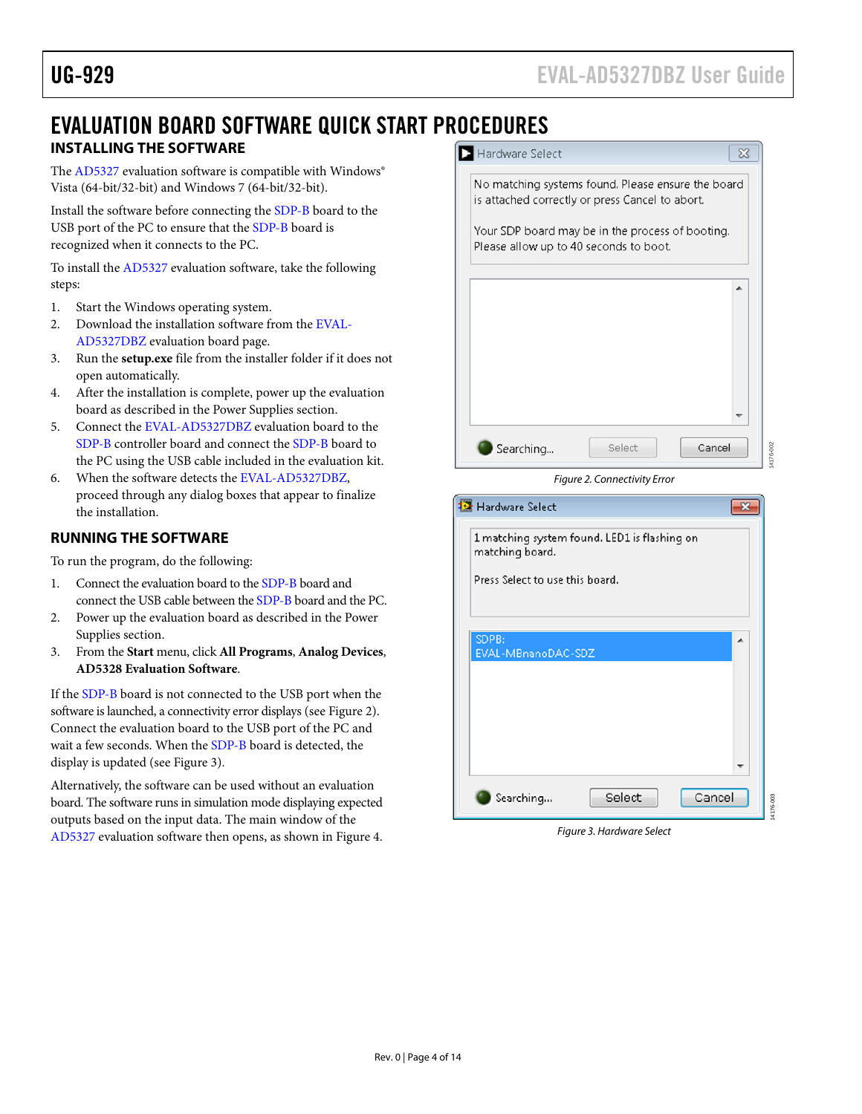14176-002

### <span id="page-3-0"></span>EVALUATION BOARD SOFTWARE QUICK START PROCEDURES **INSTALLING THE SOFTWARE**

<span id="page-3-1"></span>The [AD5327](http://www.analog.com/AD5327?doc=EVAL-AD5327DBZ-UG-929.pdf) evaluation software is compatible with Windows® Vista (64-bit/32-bit) and Windows 7 (64-bit/32-bit).

Install the software before connecting the [SDP-B](http://www.analog.com/SDP-B?doc=EVAL-AD5327DBZ-UG-929.pdf) board to the USB port of the PC to ensure that th[e SDP-B b](http://www.analog.com/SDP-B?doc=EVAL-AD5327DBZ-UG-929.pdf)oard is recognized when it connects to the PC.

To install th[e AD5327](http://www.analog.com/AD5327?doc=EVAL-AD5327DBZ-UG-929.pdf) evaluation software, take the following steps:

- 1. Start the Windows operating system.
- 2. Download the installation software from th[e EVAL-](http://www.analog.com/EVAL-AD5327?doc=EVAL-AD5327DBZ-UG-929.pdf)[AD5327DBZ](http://www.analog.com/EVAL-AD5327?doc=EVAL-AD5327DBZ-UG-929.pdf) evaluation board page.
- 3. Run the **setup.exe** file from the installer folder if it does not open automatically.
- 4. After the installation is complete, power up the evaluation board as described in th[e Power Supplies s](#page-2-1)ection.
- 5. Connect the [EVAL-AD5327DBZ e](http://www.analog.com/EVAL-AD5327?doc=EVAL-AD5327DBZ-UG-929.pdf)valuation board to the [SDP-B](http://www.analog.com/SDP-B?doc=EVAL-AD5327DBZ-UG-929.pdf) controller board and connect the [SDP-B b](http://www.analog.com/SDP-B?doc=EVAL-AD5327DBZ-UG-929.pdf)oard to the PC using the USB cable included in the evaluation kit.
- 6. When the software detects the [EVAL-AD5327DBZ,](http://www.analog.com/EVAL-AD5327?doc=EVAL-AD5327DBZ-UG-929.pdf)  proceed through any dialog boxes that appear to finalize the installation.

### <span id="page-3-2"></span>**RUNNING THE SOFTWARE**

To run the program, do the following:

- 1. Connect the evaluation board to th[e SDP-B b](http://www.analog.com/SDP-B?doc=EVAL-AD5327DBZ-UG-929.pdf)oard and connect the USB cable between th[e SDP-B b](http://www.analog.com/SDP-B?doc=EVAL-AD5327DBZ-UG-929.pdf)oard and the PC.
- 2. Power up the evaluation board as described in the [Power](#page-2-1)  [Supplies s](#page-2-1)ection.
- 3. From the **Start** menu, click **All Programs**, **Analog Devices**, **AD5328 Evaluation Software**.

If th[e SDP-B b](http://www.analog.com/SDP-B?doc=EVAL-AD5327DBZ-UG-929.pdf)oard is not connected to the USB port when the software is launched, a connectivity error displays (se[e Figure 2\)](#page-3-3). Connect the evaluation board to the USB port of the PC and wait a few seconds. When the [SDP-B](http://www.analog.com/SDP-B?doc=EVAL-AD5327DBZ-UG-929.pdf) board is detected, the display is updated (se[e Figure 3\)](#page-3-4).

Alternatively, the software can be used without an evaluation board. The software runs in simulation mode displaying expected outputs based on the input data. The main window of the [AD5327 e](http://www.analog.com/AD5327?doc=EVAL-AD5327DBZ-UG-929.pdf)valuation software then opens, as shown i[n Figure 4.](#page-4-1) 



<span id="page-3-3"></span>**Ex** Hardware Select  $\overline{\mathbf{x}}$ 1 matching system found. LED1 is flashing on matching board. Press Select to use this board. SDPB: EVAL-MBnanoDAC-SDZ ÷ Searching... Select Cancel 5-003 14176-003

<span id="page-3-4"></span>Figure 3. Hardware Select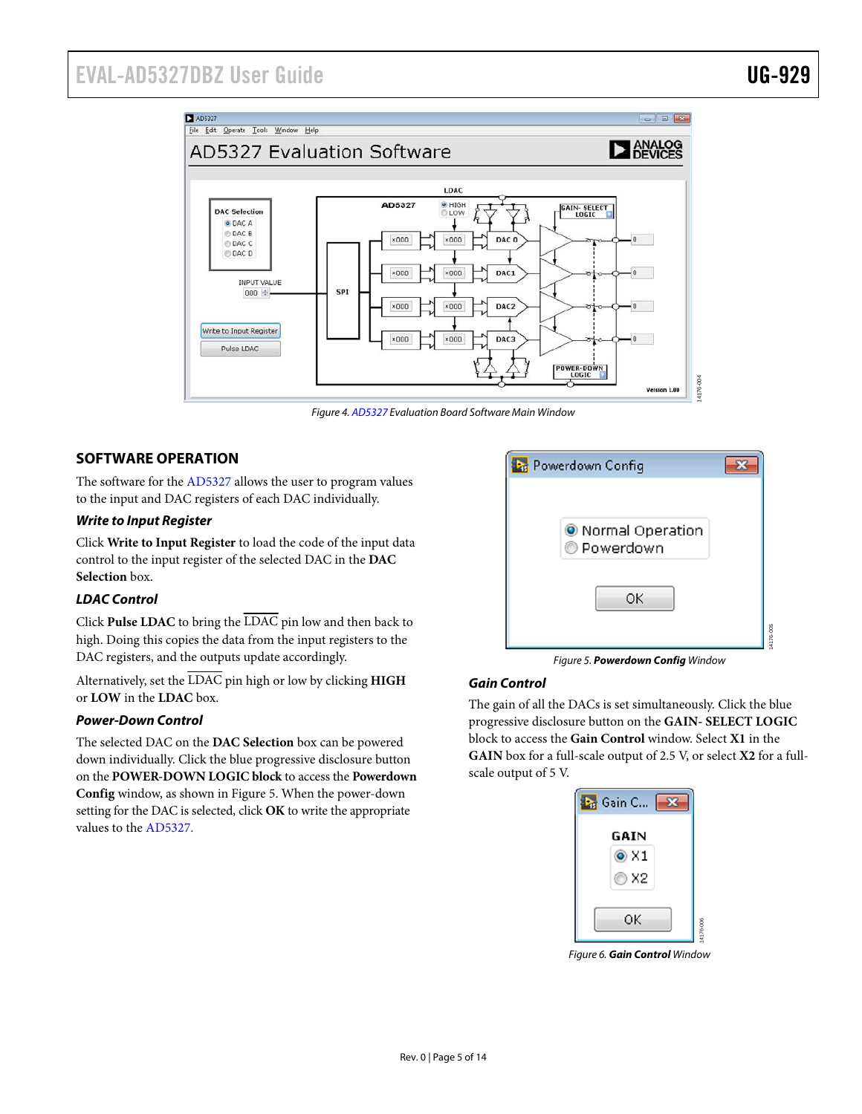## EVAL-AD5327DBZ User Guide Value Controller Controller Controller UG-929



Figure 4[. AD5327 E](http://www.analog.com/AD5327?doc=EVAL-AD5327DBZ-UG-929.pdf)valuation Board Software Main Window

#### <span id="page-4-1"></span><span id="page-4-0"></span>**SOFTWARE OPERATION**

The software for th[e AD5327 a](http://www.analog.com/AD5327?doc=EVAL-AD5327DBZ-UG-929.pdf)llows the user to program values to the input and DAC registers of each DAC individually.

#### **Write to Input Register**

Click **Write to Input Register** to load the code of the input data control to the input register of the selected DAC in the **DAC Selection** box.

#### **LDAC Control**

Click **Pulse LDAC** to bring the LDAC pin low and then back to high. Doing this copies the data from the input registers to the DAC registers, and the outputs update accordingly.

Alternatively, set the LDAC pin high or low by clicking **HIGH** or **LOW** in the **LDAC** box.

#### **Power-Down Control**

The selected DAC on the **DAC Selection** box can be powered down individually. Click the blue progressive disclosure button on the **POWER-DOWN LOGIC block** to access the **Powerdown Config** window, as shown i[n Figure 5.](#page-4-2) When the power-down setting for the DAC is selected, click **OK** to write the appropriate values to th[e AD5327.](http://www.analog.com/AD5327?doc=EVAL-AD5327DBZ-UG-929.pdf) 



Figure 5. **Powerdown Config** Window

#### <span id="page-4-2"></span>**Gain Control**

The gain of all the DACs is set simultaneously. Click the blue progressive disclosure button on the **GAIN- SELECT LOGIC** block to access the **Gain Control** window. Select **X1** in the **GAIN** box for a full-scale output of 2.5 V, or select **X2** for a fullscale output of 5 V.

| Gain C     |  |
|------------|--|
| GAIN       |  |
| $\odot$ X1 |  |
| © X2       |  |
|            |  |
| ОΚ         |  |

Figure 6. **Gain Control** Window

14176-006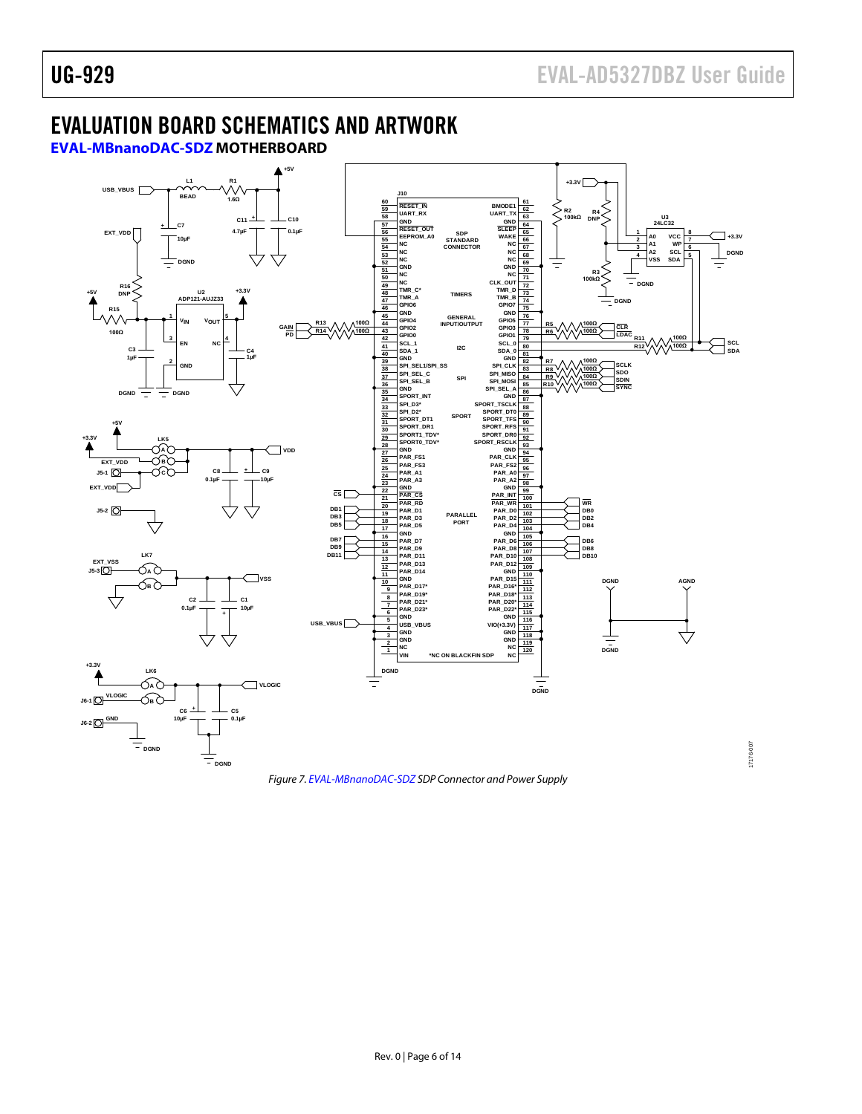## <span id="page-5-0"></span>EVALUATION BOARD SCHEMATICS AND ARTWORK

<span id="page-5-1"></span>**[EVAL-MBnanoDAC-SDZ](http://www.analog.com/EVAL-AD5327?doc=EVAL-AD5327DBZ-UG-929.pdf) MOTHERBOARD**

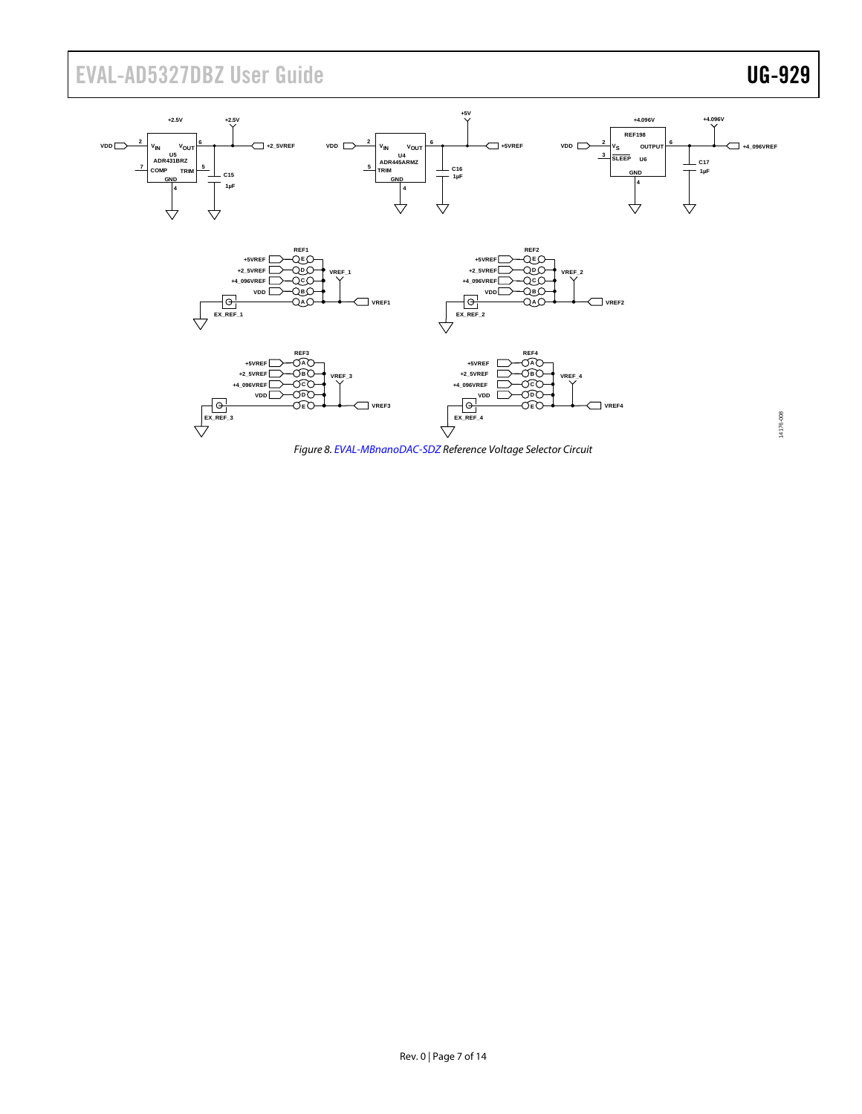# EVAL-AD5327DBZ User Guide Value Controller Controller Controller Controller Controller Controller Controller Controller Controller Controller Controller Controller Controller Controller Controller Controller Controller Con



*Figure 8[. EVAL-MBnanoDAC-SDZ](http://www.analog.com/EVAL-AD5327?doc=EVAL-AD5327DBZ-UG-929.pdf) Reference Voltage Selector Circuit*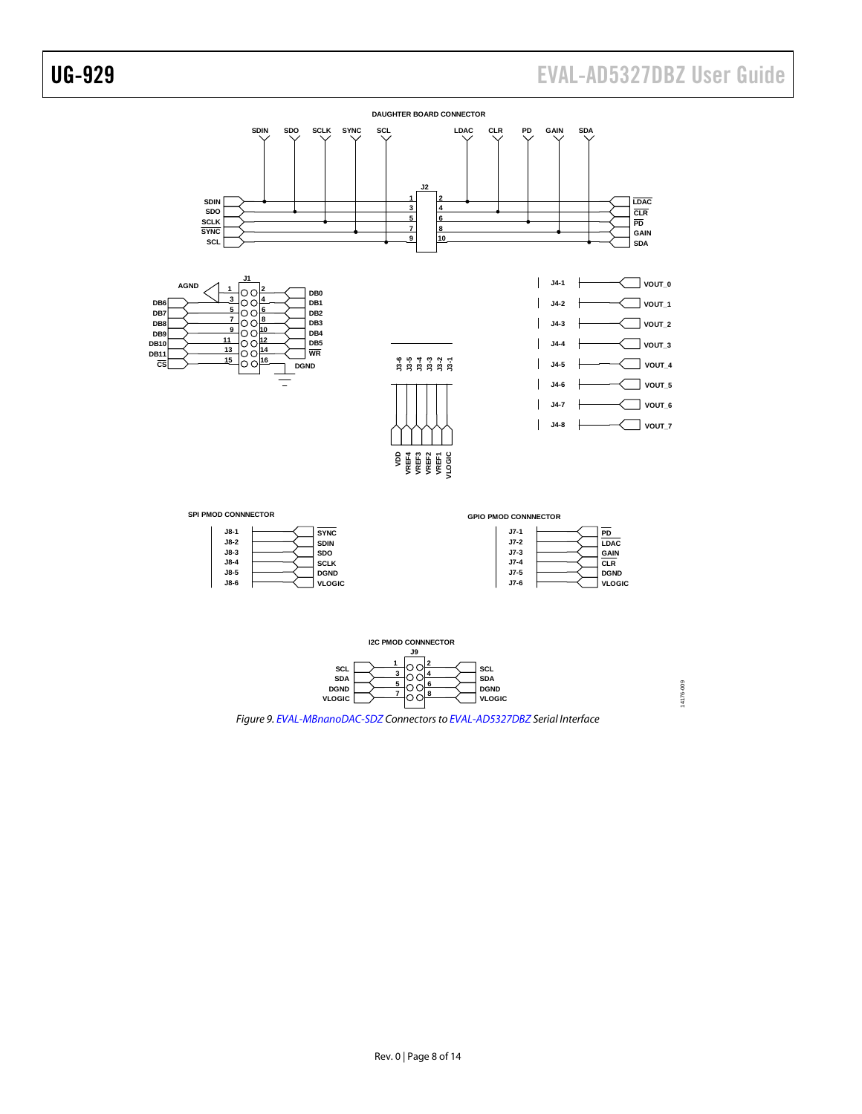

![](_page_7_Figure_3.jpeg)

14176-009 14176-009

*Figure 9[. EVAL-MBnanoDAC-SDZ](http://www.analog.com/EVAL-AD5327?doc=EVAL-AD5327DBZ-UG-929.pdf) Connectors t[o EVAL-AD5327DBZ](http://www.analog.com/EVAL-AD5327?doc=EVAL-AD5327DBZ-UG-929.pdf) Serial Interface*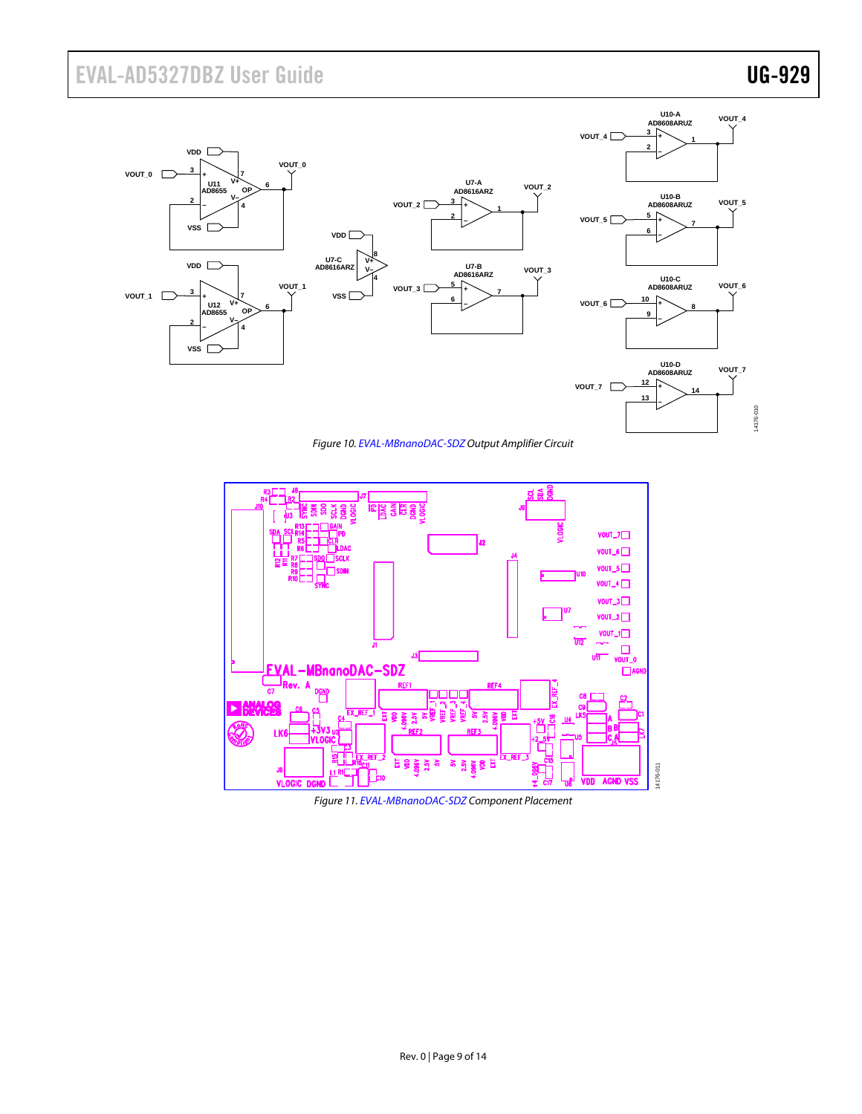# EVAL-AD5327DBZ User Guide Value UG-929

14176-010

14176-010

![](_page_8_Figure_2.jpeg)

*Figure 10[. EVAL-MBnanoDAC-SDZO](http://www.analog.com/EVAL-AD5327?doc=EVAL-AD5327DBZ-UG-929.pdf)utput Amplifier Circuit*

![](_page_8_Figure_4.jpeg)

<span id="page-8-0"></span>*Figure 11[. EVAL-MBnanoDAC-SDZ](http://www.analog.com/EVAL-AD5327?doc=EVAL-AD5327DBZ-UG-929.pdf) Component Placement*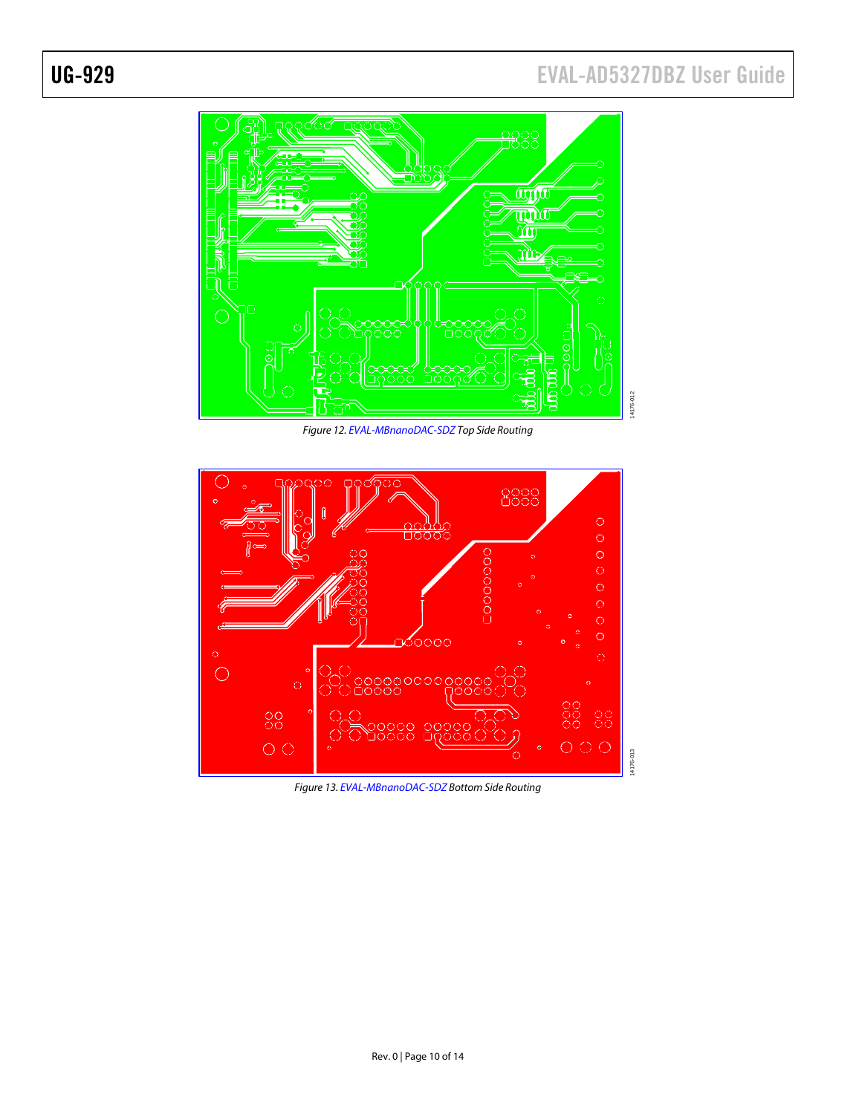# UG-929 EVAL-AD5327DBZ User Guide

![](_page_9_Figure_2.jpeg)

*Figure 12[. EVAL-MBnanoDAC-SDZ](http://www.analog.com/EVAL-AD5327?doc=EVAL-AD5327DBZ-UG-929.pdf) Top Side Routing*

![](_page_9_Figure_4.jpeg)

*Figure 13[. EVAL-MBnanoDAC-SDZ](http://www.analog.com/EVAL-AD5327?doc=EVAL-AD5327DBZ-UG-929.pdf) Bottom Side Routing*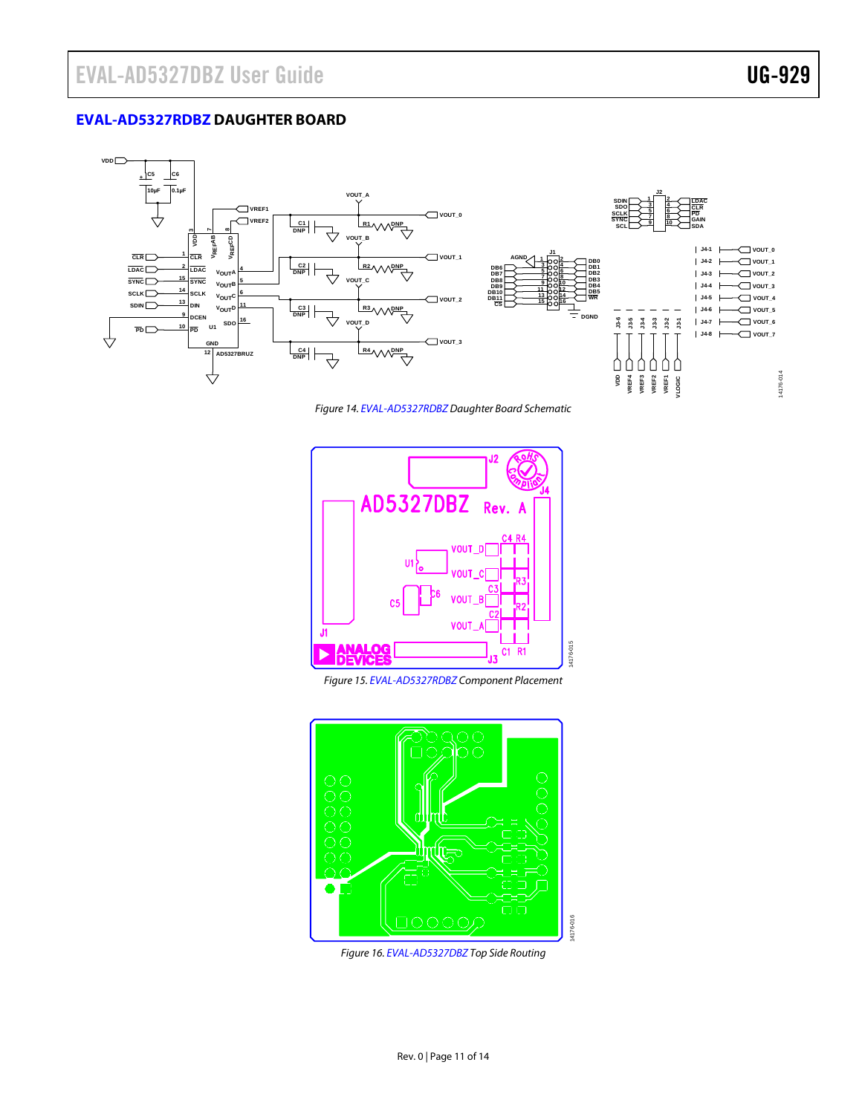### <span id="page-10-0"></span>**[EVAL-AD5327RDBZ](http://www.analog.com/EVAL-AD5327RDBZ?doc=EVAL-AD5327-UG-XXX.pdf) DAUGHTER BOARD**

![](_page_10_Figure_3.jpeg)

*Figure 14[. EVAL-AD5327RDBZ](http://www.analog.com/EVAL-AD5327RDBZ?doc=EVAL-AD53127-UG-XXX.pdf) Daughter Board Schematic*

![](_page_10_Figure_5.jpeg)

*Figure 15[. EVAL-AD5327RDBZ](http://www.analog.com/EVAL-AD5327RDBZ?doc=EVAL-AD53127-UG-XXX.pdf) Component Placement*

![](_page_10_Figure_7.jpeg)

*Figure 16[. EVAL-AD5327DBZ](http://www.analog.com/EVAL-AD5327DBZ?doc=EVAL-AD5327DBZ-UG-929.pdf) Top Side Routing*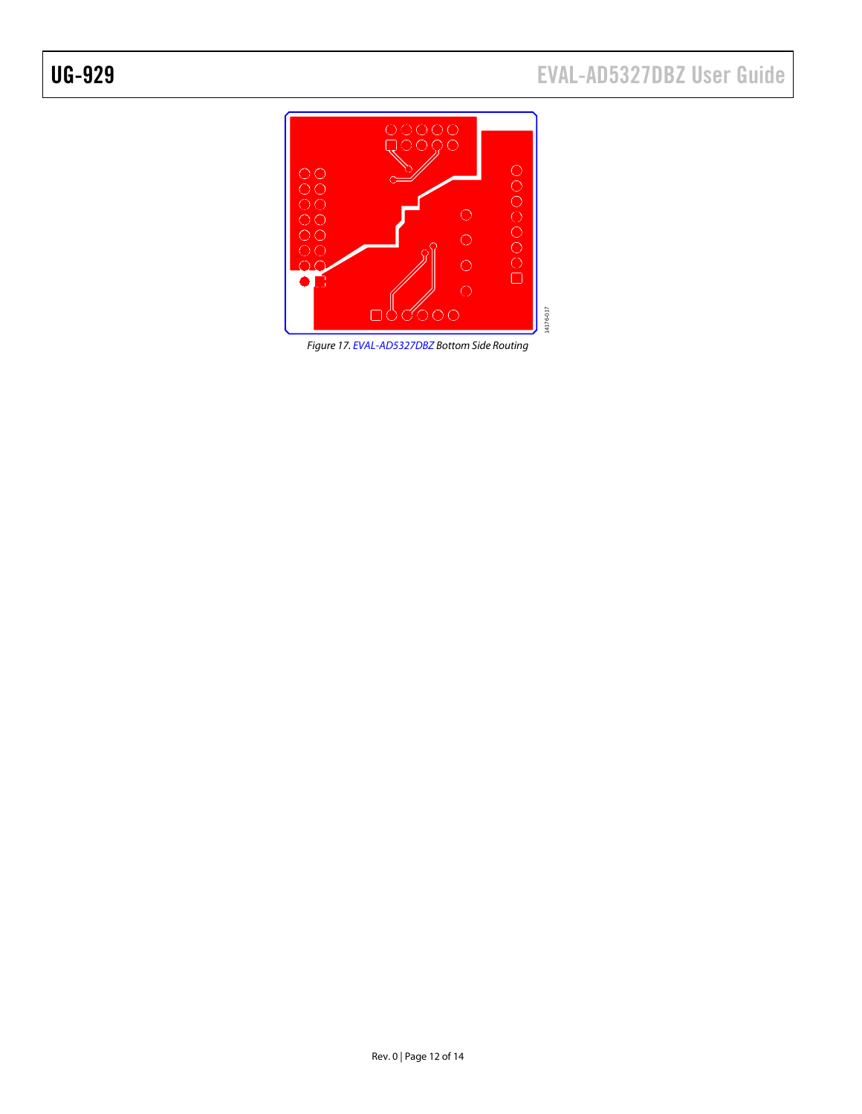![](_page_11_Picture_2.jpeg)

*Figure 17[. EVAL-AD5327DBZ](http://www.analog.com/EVAL-AD5327DBZ?doc=EVAL-AD5327DBZ-UG-929.pdf) Bottom Side Routing*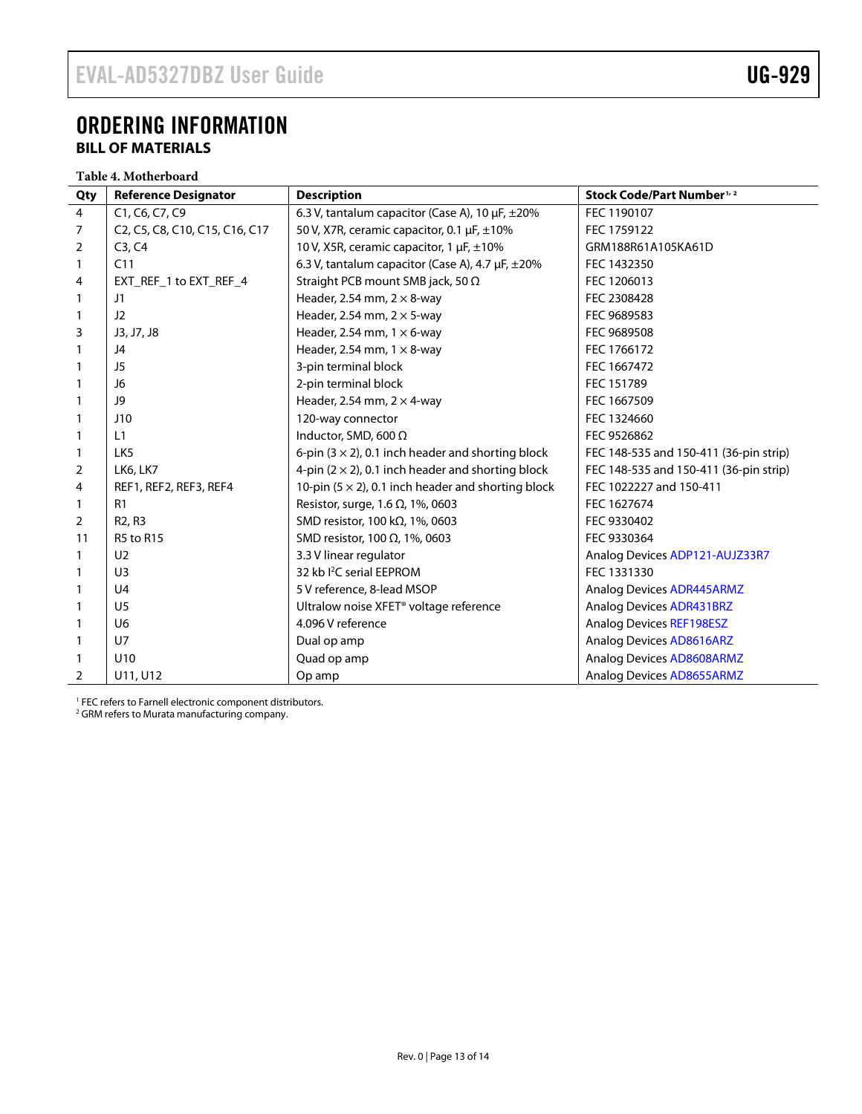### <span id="page-12-1"></span><span id="page-12-0"></span>ORDERING INFORMATION **BILL OF MATERIALS**

**Table 4. Motherboard**

| Qty            | <b>Reference Designator</b>     | <b>Description</b>                                         | Stock Code/Part Number <sup>1, 2</sup> |
|----------------|---------------------------------|------------------------------------------------------------|----------------------------------------|
| $\overline{4}$ | C1, C6, C7, C9                  | 6.3 V, tantalum capacitor (Case A), 10 $\mu$ F, $\pm$ 20%  | FEC 1190107                            |
| 7              | C2, C5, C8, C10, C15, C16, C17  | 50 V, X7R, ceramic capacitor, 0.1 µF, ±10%                 | FEC 1759122                            |
| 2              | C3, C4                          | 10 V, X5R, ceramic capacitor, 1 µF, ±10%                   | GRM188R61A105KA61D                     |
| 1              | C11                             | 6.3 V, tantalum capacitor (Case A), 4.7 µF, ±20%           | FEC 1432350                            |
| 4              | EXT_REF_1 to EXT_REF_4          | Straight PCB mount SMB jack, 50 $\Omega$                   | FEC 1206013                            |
|                | J1                              | Header, 2.54 mm, $2 \times 8$ -way                         | FEC 2308428                            |
|                | J2                              | Header, 2.54 mm, $2 \times$ 5-way                          | FEC 9689583                            |
| 3              | J3, J7, J8                      | Header, 2.54 mm, $1 \times 6$ -way                         | FEC 9689508                            |
|                | J4                              | Header, 2.54 mm, $1 \times 8$ -way                         | FEC 1766172                            |
|                | J5                              | 3-pin terminal block                                       | FEC 1667472                            |
|                | J6                              | 2-pin terminal block                                       | FEC 151789                             |
|                | J9                              | Header, 2.54 mm, $2 \times 4$ -way                         | FEC 1667509                            |
|                | J10                             | 120-way connector                                          | FEC 1324660                            |
|                | L1                              | Inductor, SMD, 600 $\Omega$                                | FEC 9526862                            |
|                | LK <sub>5</sub>                 | 6-pin $(3 \times 2)$ , 0.1 inch header and shorting block  | FEC 148-535 and 150-411 (36-pin strip) |
| 2              | <b>LK6, LK7</b>                 | 4-pin $(2 \times 2)$ , 0.1 inch header and shorting block  | FEC 148-535 and 150-411 (36-pin strip) |
| 4              | REF1, REF2, REF3, REF4          | 10-pin $(5 \times 2)$ , 0.1 inch header and shorting block | FEC 1022227 and 150-411                |
|                | R1                              | Resistor, surge, 1.6 $\Omega$ , 1%, 0603                   | FEC 1627674                            |
| $\overline{2}$ | R <sub>2</sub> , R <sub>3</sub> | SMD resistor, 100 k $\Omega$ , 1%, 0603                    | FEC 9330402                            |
| 11             | <b>R5 to R15</b>                | SMD resistor, 100 $\Omega$ , 1%, 0603                      | FEC 9330364                            |
|                | U <sub>2</sub>                  | 3.3 V linear regulator                                     | Analog Devices ADP121-AUJZ33R7         |
|                | U <sub>3</sub>                  | 32 kb <sup>2</sup> C serial EEPROM                         | FEC 1331330                            |
|                | U <sub>4</sub>                  | 5 V reference, 8-lead MSOP                                 | <b>Analog Devices ADR445ARMZ</b>       |
|                | U <sub>5</sub>                  | Ultralow noise XFET <sup>®</sup> voltage reference         | <b>Analog Devices ADR431BRZ</b>        |
|                | U <sub>6</sub>                  | 4.096 V reference                                          | <b>Analog Devices REF198ESZ</b>        |
|                | $U$ 7                           | Dual op amp                                                | Analog Devices AD8616ARZ               |
|                | U10                             | Quad op amp                                                | Analog Devices AD8608ARMZ              |
| $\overline{2}$ | U11, U12                        | Op amp                                                     | Analog Devices AD8655ARMZ              |

<sup>1</sup> FEC refers to Farnell electronic component distributors.

<sup>2</sup> GRM refers to Murata manufacturing company.